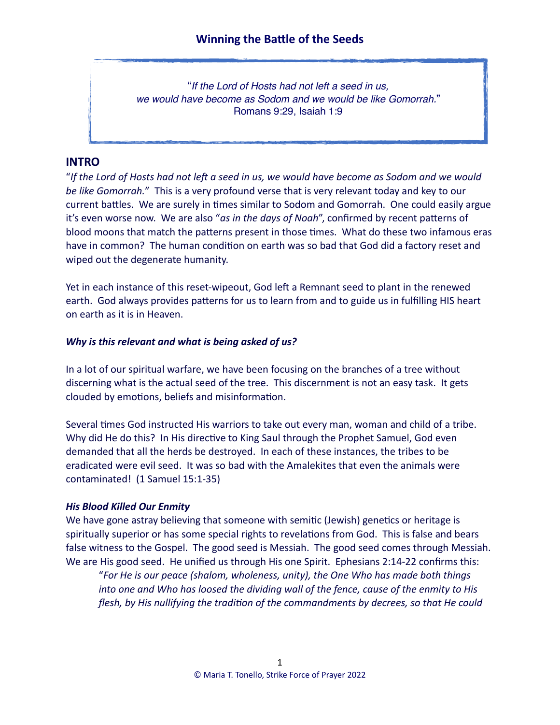"*If the Lord of Hosts had not left a seed in us, we would have become as Sodom and we would be like Gomorrah.*" Romans 9:29, Isaiah 1:9

### **INTRO**

"*If the Lord of Hosts had not left a seed in us, we would have become as Sodom and we would be like Gomorrah.*" This is a very profound verse that is very relevant today and key to our current battles. We are surely in times similar to Sodom and Gomorrah. One could easily argue it's even worse now. We are also "*as in the days of Noah*", confirmed by recent patterns of blood moons that match the patterns present in those times. What do these two infamous eras have in common? The human condition on earth was so bad that God did a factory reset and wiped out the degenerate humanity.

Yet in each instance of this reset-wipeout, God left a Remnant seed to plant in the renewed earth. God always provides patterns for us to learn from and to guide us in fulfilling HIS heart on earth as it is in Heaven.

#### *Why is this relevant and what is being asked of us?*

In a lot of our spiritual warfare, we have been focusing on the branches of a tree without discerning what is the actual seed of the tree. This discernment is not an easy task. It gets clouded by emotions, beliefs and misinformation.

Several times God instructed His warriors to take out every man, woman and child of a tribe. Why did He do this? In His directive to King Saul through the Prophet Samuel, God even demanded that all the herds be destroyed. In each of these instances, the tribes to be eradicated were evil seed. It was so bad with the Amalekites that even the animals were contaminated! (1 Samuel 15:1-35)

#### *His Blood Killed Our Enmity*

We have gone astray believing that someone with semitic (Jewish) genetics or heritage is spiritually superior or has some special rights to revelations from God. This is false and bears false witness to the Gospel. The good seed is Messiah. The good seed comes through Messiah. We are His good seed. He unified us through His one Spirit. Ephesians 2:14-22 confirms this:

"*For He is our peace (shalom, wholeness, unity), the One Who has made both things into one and Who has loosed the dividing wall of the fence, cause of the enmity to His flesh, by His nullifying the tradition of the commandments by decrees, so that He could*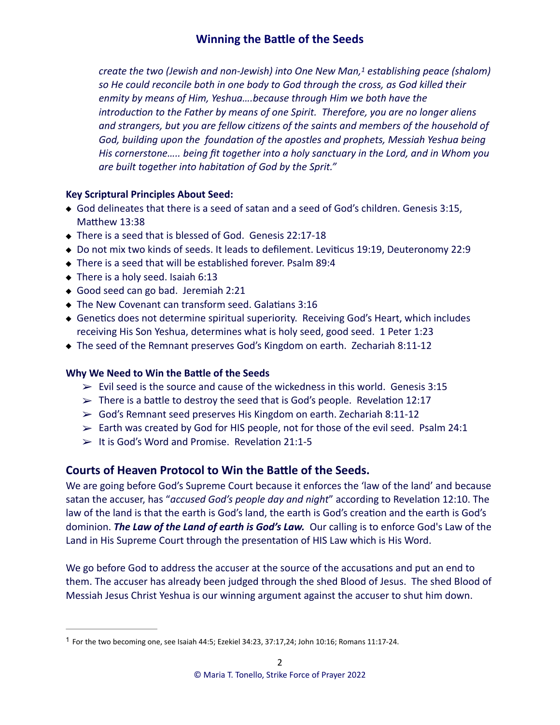<span id="page-1-1"></span>*create the two (Jewish and non-Jewish) into One New Man[,](#page-1-0) establishing peace (shalom) [1](#page-1-0) so He could reconcile both in one body to God through the cross, as God killed their enmity by means of Him, Yeshua….because through Him we both have the introduction to the Father by means of one Spirit. Therefore, you are no longer aliens and strangers, but you are fellow citizens of the saints and members of the household of God, building upon the foundation of the apostles and prophets, Messiah Yeshua being His cornerstone….. being fit together into a holy sanctuary in the Lord, and in Whom you are built together into habitation of God by the Sprit."* 

#### **Key Scriptural Principles About Seed:**

- God delineates that there is a seed of satan and a seed of God's children. Genesis 3:15, Matthew 13:38
- ◆ There is a seed that is blessed of God. Genesis 22:17-18
- Do not mix two kinds of seeds. It leads to defilement. Leviticus 19:19, Deuteronomy 22:9
- There is a seed that will be established forever. Psalm 89:4
- ◆ There is a holy seed. Isaiah 6:13
- ◆ Good seed can go bad. Jeremiah 2:21
- The New Covenant can transform seed. Galatians 3:16
- Genetics does not determine spiritual superiority. Receiving God's Heart, which includes receiving His Son Yeshua, determines what is holy seed, good seed. 1 Peter 1:23
- ◆ The seed of the Remnant preserves God's Kingdom on earth. Zechariah 8:11-12

#### **Why We Need to Win the Battle of the Seeds**

- $\ge$  Evil seed is the source and cause of the wickedness in this world. Genesis 3:15
- $\triangleright$  There is a battle to destroy the seed that is God's people. Revelation 12:17
- $\geq$  God's Remnant seed preserves His Kingdom on earth. Zechariah 8:11-12
- $\geq$  Earth was created by God for HIS people, not for those of the evil seed. Psalm 24:1
- $\geq$  It is God's Word and Promise. Revelation 21:1-5

### **Courts of Heaven Protocol to Win the Battle of the Seeds.**

We are going before God's Supreme Court because it enforces the 'law of the land' and because satan the accuser, has "*accused God's people day and night*" according to Revelation 12:10. The law of the land is that the earth is God's land, the earth is God's creation and the earth is God's dominion. *The Law of the Land of earth is God's Law.* Our calling is to enforce God's Law of the Land in His Supreme Court through the presentation of HIS Law which is His Word.

We go before God to address the accuser at the source of the accusations and put an end to them. The accuser has already been judged through the shed Blood of Jesus. The shed Blood of Messiah Jesus Christ Yeshua is our winning argument against the accuser to shut him down.

<span id="page-1-0"></span> $1$  For the two becoming one, see Isaiah 44:5; Ezekiel 34:23, 37:17,24; John 10:16; Romans 11:17-24.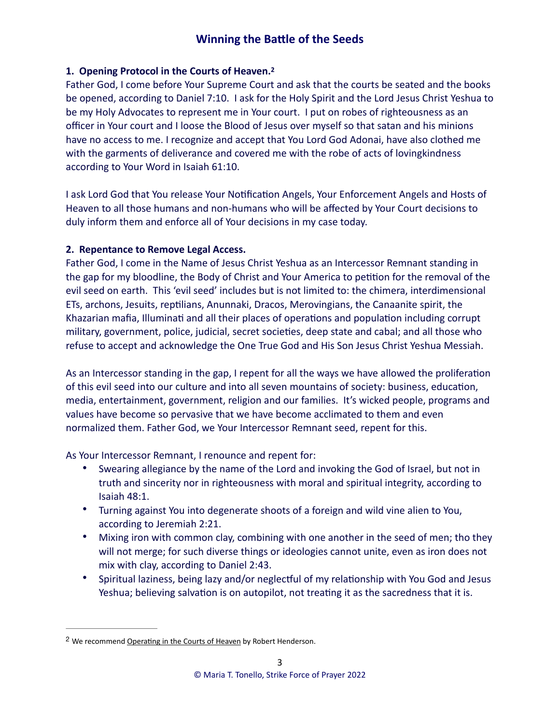#### <span id="page-2-1"></span>**1. Opening Protocol in the Courts of Heaven. [2](#page-2-0)**

Father God, I come before Your Supreme Court and ask that the courts be seated and the books be opened, according to Daniel 7:10. I ask for the Holy Spirit and the Lord Jesus Christ Yeshua to be my Holy Advocates to represent me in Your court. I put on robes of righteousness as an officer in Your court and I loose the Blood of Jesus over myself so that satan and his minions have no access to me. I recognize and accept that You Lord God Adonai, have also clothed me with the garments of deliverance and covered me with the robe of acts of lovingkindness according to Your Word in Isaiah 61:10.

I ask Lord God that You release Your Notification Angels, Your Enforcement Angels and Hosts of Heaven to all those humans and non-humans who will be affected by Your Court decisions to duly inform them and enforce all of Your decisions in my case today.

#### **2. Repentance to Remove Legal Access.**

Father God, I come in the Name of Jesus Christ Yeshua as an Intercessor Remnant standing in the gap for my bloodline, the Body of Christ and Your America to petition for the removal of the evil seed on earth. This 'evil seed' includes but is not limited to: the chimera, interdimensional ETs, archons, Jesuits, reptilians, Anunnaki, Dracos, Merovingians, the Canaanite spirit, the Khazarian mafia, Illuminati and all their places of operations and population including corrupt military, government, police, judicial, secret societies, deep state and cabal; and all those who refuse to accept and acknowledge the One True God and His Son Jesus Christ Yeshua Messiah.

As an Intercessor standing in the gap, I repent for all the ways we have allowed the proliferation of this evil seed into our culture and into all seven mountains of society: business, education, media, entertainment, government, religion and our families. It's wicked people, programs and values have become so pervasive that we have become acclimated to them and even normalized them. Father God, we Your Intercessor Remnant seed, repent for this.

As Your Intercessor Remnant, I renounce and repent for:

- Swearing allegiance by the name of the Lord and invoking the God of Israel, but not in truth and sincerity nor in righteousness with moral and spiritual integrity, according to Isaiah 48:1.
- Turning against You into degenerate shoots of a foreign and wild vine alien to You, according to Jeremiah 2:21.
- Mixing iron with common clay, combining with one another in the seed of men; tho they will not merge; for such diverse things or ideologies cannot unite, even as iron does not mix with clay, according to Daniel 2:43.
- Spiritual laziness, being lazy and/or neglectful of my relationship with You God and Jesus Yeshua; believing salvation is on autopilot, not treating it as the sacredness that it is.

<span id="page-2-0"></span><sup>&</sup>lt;sup>[2](#page-2-1)</sup> We recommend Operating in the Courts of Heaven by Robert Henderson.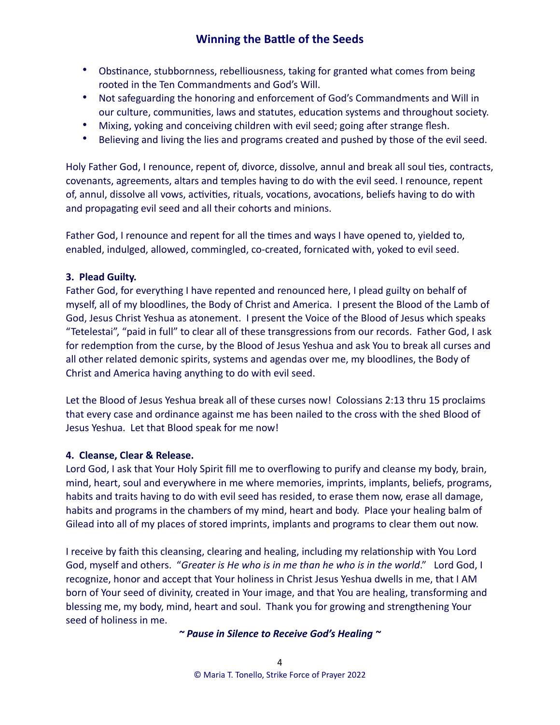- Obstinance, stubbornness, rebelliousness, taking for granted what comes from being rooted in the Ten Commandments and God's Will.
- Not safeguarding the honoring and enforcement of God's Commandments and Will in our culture, communities, laws and statutes, education systems and throughout society.
- Mixing, yoking and conceiving children with evil seed; going after strange flesh.
- Believing and living the lies and programs created and pushed by those of the evil seed.

Holy Father God, I renounce, repent of, divorce, dissolve, annul and break all soul ties, contracts, covenants, agreements, altars and temples having to do with the evil seed. I renounce, repent of, annul, dissolve all vows, activities, rituals, vocations, avocations, beliefs having to do with and propagating evil seed and all their cohorts and minions.

Father God, I renounce and repent for all the times and ways I have opened to, yielded to, enabled, indulged, allowed, commingled, co-created, fornicated with, yoked to evil seed.

#### **3. Plead Guilty.**

Father God, for everything I have repented and renounced here, I plead guilty on behalf of myself, all of my bloodlines, the Body of Christ and America. I present the Blood of the Lamb of God, Jesus Christ Yeshua as atonement. I present the Voice of the Blood of Jesus which speaks "Tetelestai", "paid in full" to clear all of these transgressions from our records. Father God, I ask for redemption from the curse, by the Blood of Jesus Yeshua and ask You to break all curses and all other related demonic spirits, systems and agendas over me, my bloodlines, the Body of Christ and America having anything to do with evil seed.

Let the Blood of Jesus Yeshua break all of these curses now! Colossians 2:13 thru 15 proclaims that every case and ordinance against me has been nailed to the cross with the shed Blood of Jesus Yeshua. Let that Blood speak for me now!

#### **4. Cleanse, Clear & Release.**

Lord God, I ask that Your Holy Spirit fill me to overflowing to purify and cleanse my body, brain, mind, heart, soul and everywhere in me where memories, imprints, implants, beliefs, programs, habits and traits having to do with evil seed has resided, to erase them now, erase all damage, habits and programs in the chambers of my mind, heart and body. Place your healing balm of Gilead into all of my places of stored imprints, implants and programs to clear them out now.

I receive by faith this cleansing, clearing and healing, including my relationship with You Lord God, myself and others. "*Greater is He who is in me than he who is in the world*." Lord God, I recognize, honor and accept that Your holiness in Christ Jesus Yeshua dwells in me, that I AM born of Your seed of divinity, created in Your image, and that You are healing, transforming and blessing me, my body, mind, heart and soul. Thank you for growing and strengthening Your seed of holiness in me.

#### *~ Pause in Silence to Receive God's Healing ~*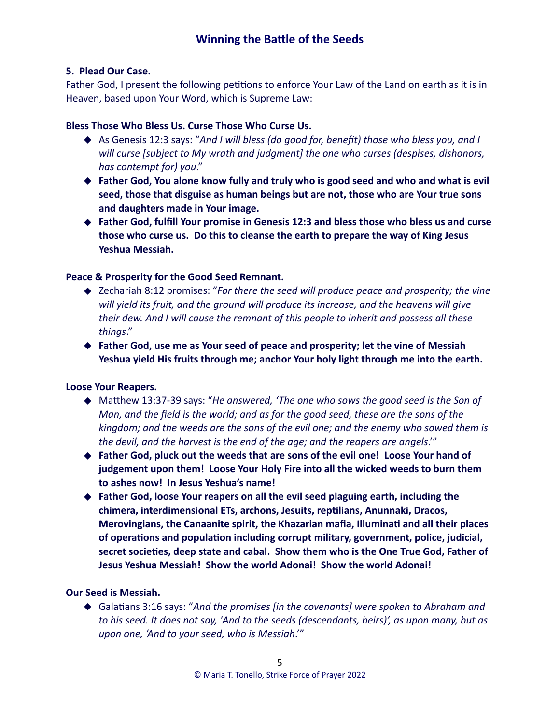#### **5. Plead Our Case.**

Father God, I present the following petitions to enforce Your Law of the Land on earth as it is in Heaven, based upon Your Word, which is Supreme Law:

#### **Bless Those Who Bless Us. Curse Those Who Curse Us.**

- ◆ As Genesis 12:3 says: "And I will bless (do good for, benefit) those who bless you, and I *will curse [subject to My wrath and judgment] the one who curses (despises, dishonors, has contempt for) you*."
- ◆ Father God, You alone know fully and truly who is good seed and who and what is evil **seed, those that disguise as human beings but are not, those who are Your true sons and daughters made in Your image.**
- ◆ Father God, fulfill Your promise in Genesis 12:3 and bless those who bless us and curse **those who curse us. Do this to cleanse the earth to prepare the way of King Jesus Yeshua Messiah.**

#### **Peace & Prosperity for the Good Seed Remnant.**

- ◆ Zechariah 8:12 promises: "*For there the seed will produce peace and prosperity; the vine will yield its fruit, and the ground will produce its increase, and the heavens will give their dew. And I will cause the remnant of this people to inherit and possess all these things*."
- ◆ **Father God, use me as Your seed of peace and prosperity; let the vine of Messiah Yeshua yield His fruits through me; anchor Your holy light through me into the earth.**

#### **Loose Your Reapers.**

- ◆ Matthew 13:37-39 says: "He answered, 'The one who sows the good seed is the Son of *Man, and the field is the world; and as for the good seed, these are the sons of the kingdom; and the weeds are the sons of the evil one; and the enemy who sowed them is the devil, and the harvest is the end of the age; and the reapers are angels*.'"
- ◆ Father God, pluck out the weeds that are sons of the evil one! Loose Your hand of **judgement upon them! Loose Your Holy Fire into all the wicked weeds to burn them to ashes now! In Jesus Yeshua's name!**
- ◆ **Father God, loose Your reapers on all the evil seed plaguing earth, including the chimera, interdimensional ETs, archons, Jesuits, reptilians, Anunnaki, Dracos, Merovingians, the Canaanite spirit, the Khazarian mafia, Illuminati and all their places of operations and population including corrupt military, government, police, judicial, secret societies, deep state and cabal. Show them who is the One True God, Father of Jesus Yeshua Messiah! Show the world Adonai! Show the world Adonai!**

#### **Our Seed is Messiah.**

◆ Galatians 3:16 says: "*And the promises [in the covenants] were spoken to Abraham and to his seed. It does not say, 'And to the seeds (descendants, heirs)', as upon many, but as upon one, 'And to your seed, who is Messiah*.'"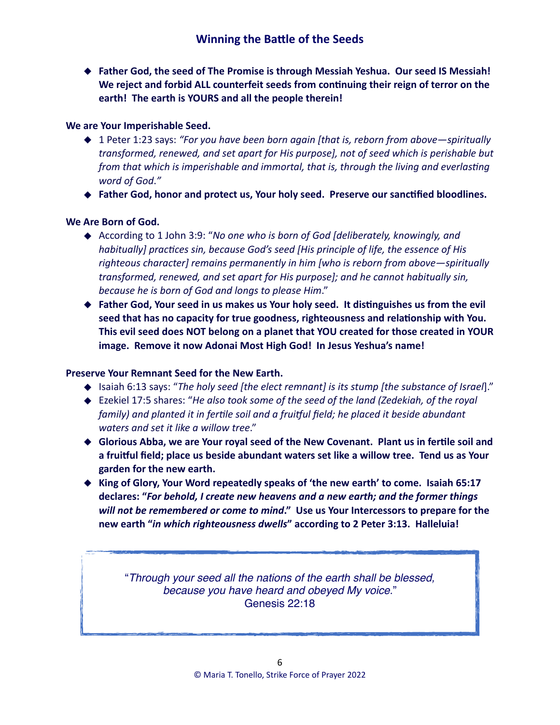◆ **Father God, the seed of The Promise is through Messiah Yeshua. Our seed IS Messiah! We reject and forbid ALL counterfeit seeds from continuing their reign of terror on the earth! The earth is YOURS and all the people therein!**

#### **We are Your Imperishable Seed.**

- ◆ 1 Peter 1:23 says: *"For you have been born again [that is, reborn from above—spiritually transformed, renewed, and set apart for His purpose], not of seed which is perishable but from that which is imperishable and immortal, that is, through the living and everlasting word of God*.*"*
- ◆ **Father God, honor and protect us, Your holy seed. Preserve our sanctified bloodlines.**

#### **We Are Born of God.**

- ◆ According to 1 John 3:9: "*No one who is born of God [deliberately, knowingly, and habitually] practices sin, because God's seed [His principle of life, the essence of His righteous character] remains permanently in him [who is reborn from above—spiritually transformed, renewed, and set apart for His purpose]; and he cannot habitually sin, because he is born of God and longs to please Him*."
- ◆ Father God, Your seed in us makes us Your holy seed. It distinguishes us from the evil **seed that has no capacity for true goodness, righteousness and relationship with You. This evil seed does NOT belong on a planet that YOU created for those created in YOUR image. Remove it now Adonai Most High God! In Jesus Yeshua's name!**

#### **Preserve Your Remnant Seed for the New Earth.**

- ◆ Isaiah 6:13 says: "*The holy seed [the elect remnant] is its stump [the substance of Israel*]."
- ◆ Ezekiel 17:5 shares: "*He also took some of the seed of the land (Zedekiah, of the royal family) and planted it in fertile soil and a fruitful field; he placed it beside abundant waters and set it like a willow tree*."
- ◆ Glorious Abba, we are Your royal seed of the New Covenant. Plant us in fertile soil and **a fruitful field; place us beside abundant waters set like a willow tree. Tend us as Your garden for the new earth.**
- ◆ **King of Glory, Your Word repeatedly speaks of 'the new earth' to come. Isaiah 65:17 declares: "***For behold, I create new heavens and a new earth; and the former things will not be remembered or come to mind***." Use us Your Intercessors to prepare for the new earth "***in which righteousness dwells***" according to 2 Peter 3:13. Halleluia!**

"*Through your seed all the nations of the earth shall be blessed, because you have heard and obeyed My voice*." Genesis 22:18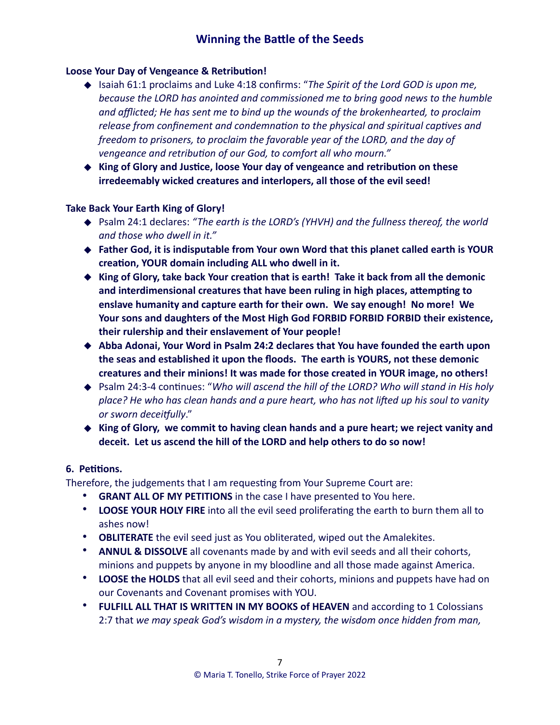#### **Loose Your Day of Vengeance & Retribution!**

- ◆ Isaiah 61:1 proclaims and Luke 4:18 confirms: "*The Spirit of the Lord GOD is upon me, because the LORD has anointed and commissioned me to bring good news to the humble and afflicted; He has sent me to bind up the wounds of the brokenhearted, to proclaim release from confinement and condemnation to the physical and spiritual captives and freedom to prisoners, to proclaim the favorable year of the LORD, and the day of vengeance and retribution of our God, to comfort all who mourn."*
- ◆ **King of Glory and Justice, loose Your day of vengeance and retribution on these irredeemably wicked creatures and interlopers, all those of the evil seed!**

#### **Take Back Your Earth King of Glory!**

- ◆ Psalm 24:1 declares: "The earth is the LORD's (YHVH) and the fullness thereof, the world *and those who dwell in it."*
- ◆ **Father God, it is indisputable from Your own Word that this planet called earth is YOUR creation, YOUR domain including ALL who dwell in it.**
- ◆ King of Glory, take back Your creation that is earth! Take it back from all the demonic **and interdimensional creatures that have been ruling in high places, attempting to enslave humanity and capture earth for their own. We say enough! No more! We Your sons and daughters of the Most High God FORBID FORBID FORBID their existence, their rulership and their enslavement of Your people!**
- ◆ Abba Adonai, Your Word in Psalm 24:2 declares that You have founded the earth upon **the seas and established it upon the floods. The earth is YOURS, not these demonic creatures and their minions! It was made for those created in YOUR image, no others!**
- ◆ Psalm 24:3-4 continues: "Who will ascend the hill of the LORD? Who will stand in His holy *place? He who has clean hands and a pure heart, who has not lifted up his soul to vanity or sworn deceitfully*."
- ◆ King of Glory, we commit to having clean hands and a pure heart; we reject vanity and **deceit. Let us ascend the hill of the LORD and help others to do so now!**

#### **6. Petitions.**

Therefore, the judgements that I am requesting from Your Supreme Court are:

- **GRANT ALL OF MY PETITIONS** in the case I have presented to You here.
- **LOOSE YOUR HOLY FIRE** into all the evil seed proliferating the earth to burn them all to ashes now!
- **OBLITERATE** the evil seed just as You obliterated, wiped out the Amalekites.
- **ANNUL & DISSOLVE** all covenants made by and with evil seeds and all their cohorts, minions and puppets by anyone in my bloodline and all those made against America.
- **LOOSE the HOLDS** that all evil seed and their cohorts, minions and puppets have had on our Covenants and Covenant promises with YOU.
- **FULFILL ALL THAT IS WRITTEN IN MY BOOKS of HEAVEN** and according to 1 Colossians 2:7 that *we may speak God's wisdom in a mystery, the wisdom once hidden from man,*